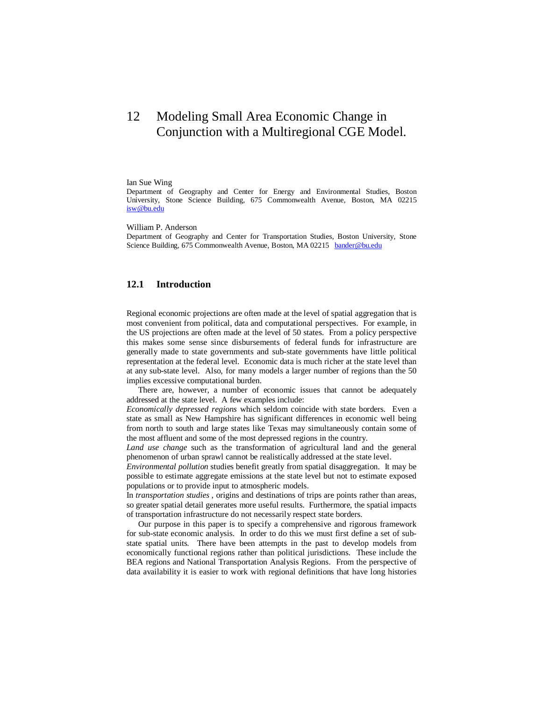# 12 Modeling Small Area Economic Change in Conjunction with a Multiregional CGE Model.

Ian Sue Wing

Department of Geography and Center for Energy and Environmental Studies, Boston University, Stone Science Building, 675 Commonwealth Avenue, Boston, MA 02215 isw@bu.edu

William P. Anderson

Department of Geography and Center for Transportation Studies, Boston University, Stone Science Building, 675 Commonwealth Avenue, Boston, MA 02215 bander@bu.edu

## **12.1 Introduction**

Regional economic projections are often made at the level of spatial aggregation that is most convenient from political, data and computational perspectives. For example, in the US projections are often made at the level of 50 states. From a policy perspective this makes some sense since disbursements of federal funds for infrastructure are generally made to state governments and sub-state governments have little political representation at the federal level. Economic data is much richer at the state level than at any sub-state level. Also, for many models a larger number of regions than the 50 implies excessive computational burden.

There are, however, a number of economic issues that cannot be adequately addressed at the state level. A few examples include:

*Economically depressed regions* which seldom coincide with state borders. Even a state as small as New Hampshire has significant differences in economic well being from north to south and large states like Texas may simultaneously contain some of the most affluent and some of the most depressed regions in the country.

*Land use change* such as the transformation of agricultural land and the general phenomenon of urban sprawl cannot be realistically addressed at the state level.

*Environmental pollution* studies benefit greatly from spatial disaggregation. It may be possible to estimate aggregate emissions at the state level but not to estimate exposed populations or to provide input to atmospheric models.

In *transportation studies* , origins and destinations of trips are points rather than areas, so greater spatial detail generates more useful results. Furthermore, the spatial impacts of transportation infrastructure do not necessarily respect state borders.

Our purpose in this paper is to specify a comprehensive and rigorous framework for sub-state economic analysis. In order to do this we must first define a set of substate spatial units. There have been attempts in the past to develop models from economically functional regions rather than political jurisdictions. These include the BEA regions and National Transportation Analysis Regions. From the perspective of data availability it is easier to work with regional definitions that have long histories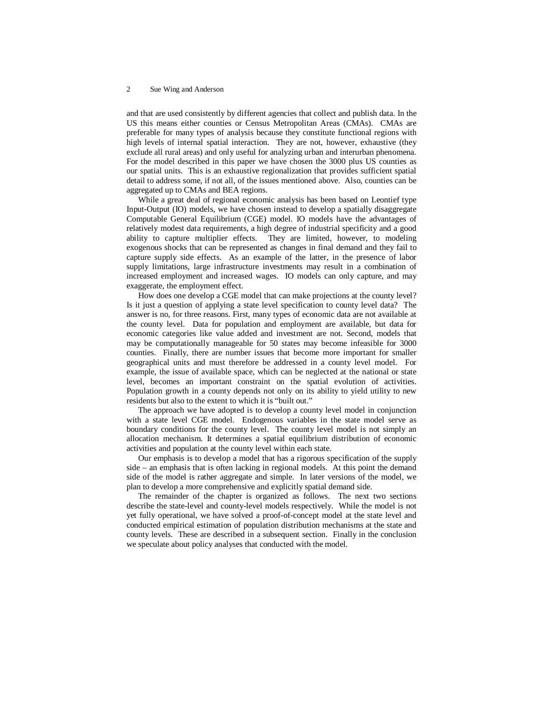and that are used consistently by different agencies that collect and publish data. In the US this means either counties or Census Metropolitan Areas (CMAs). CMAs are preferable for many types of analysis because they constitute functional regions with high levels of internal spatial interaction. They are not, however, exhaustive (they exclude all rural areas) and only useful for analyzing urban and interurban phenomena. For the model described in this paper we have chosen the 3000 plus US counties as our spatial units. This is an exhaustive regionalization that provides sufficient spatial detail to address some, if not all, of the issues mentioned above. Also, counties can be aggregated up to CMAs and BEA regions.

While a great deal of regional economic analysis has been based on Leontief type Input-Output (IO) models, we have chosen instead to develop a spatially disaggregate Computable General Equilibrium (CGE) model. IO models have the advantages of relatively modest data requirements, a high degree of industrial specificity and a good ability to capture multiplier effects. They are limited, however, to modeling exogenous shocks that can be represented as changes in final demand and they fail to capture supply side effects. As an example of the latter, in the presence of labor supply limitations, large infrastructure investments may result in a combination of increased employment and increased wages. IO models can only capture, and may exaggerate, the employment effect.

How does one develop a CGE model that can make projections at the county level? Is it just a question of applying a state level specification to county level data? The answer is no, for three reasons. First, many types of economic data are not available at the county level. Data for population and employment are available, but data for economic categories like value added and investment are not. Second, models that may be computationally manageable for 50 states may become infeasible for 3000 counties. Finally, there are number issues that become more important for smaller geographical units and must therefore be addressed in a county level model. For example, the issue of available space, which can be neglected at the national or state level, becomes an important constraint on the spatial evolution of activities. Population growth in a county depends not only on its ability to yield utility to new residents but also to the extent to which it is "built out."

The approach we have adopted is to develop a county level model in conjunction with a state level CGE model. Endogenous variables in the state model serve as boundary conditions for the county level. The county level model is not simply an allocation mechanism. It determines a spatial equilibrium distribution of economic activities and population at the county level within each state.

Our emphasis is to develop a model that has a rigorous specification of the supply side – an emphasis that is often lacking in regional models. At this point the demand side of the model is rather aggregate and simple. In later versions of the model, we plan to develop a more comprehensive and explicitly spatial demand side.

The remainder of the chapter is organized as follows. The next two sections describe the state-level and county-level models respectively. While the model is not yet fully operational, we have solved a proof-of-concept model at the state level and conducted empirical estimation of population distribution mechanisms at the state and county levels. These are described in a subsequent section. Finally in the conclusion we speculate about policy analyses that conducted with the model.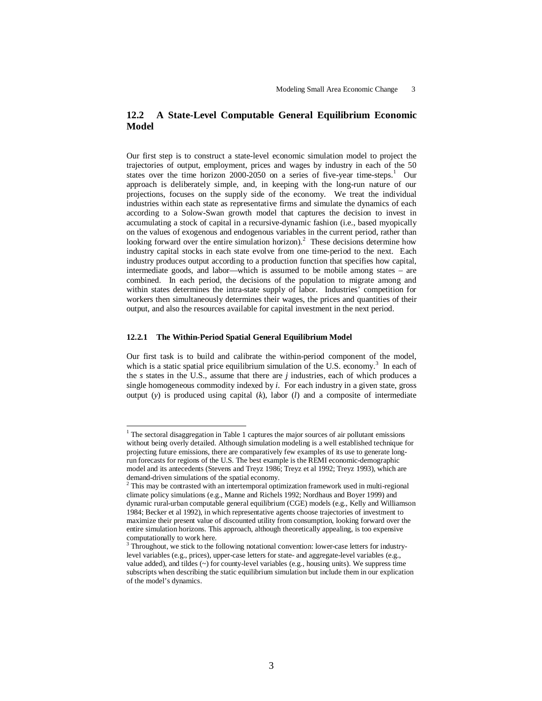# **12.2 A State-Level Computable General Equilibrium Economic Model**

Our first step is to construct a state-level economic simulation model to project the trajectories of output, employment, prices and wages by industry in each of the 50 states over the time horizon  $2000-2050$  on a series of five-year time-steps.<sup>1</sup> Our approach is deliberately simple, and, in keeping with the long-run nature of our projections, focuses on the supply side of the economy. We treat the individual industries within each state as representative firms and simulate the dynamics of each according to a Solow-Swan growth model that captures the decision to invest in accumulating a stock of capital in a recursive-dynamic fashion (i.e., based myopically on the values of exogenous and endogenous variables in the current period, rather than looking forward over the entire simulation horizon).<sup>2</sup> These decisions determine how industry capital stocks in each state evolve from one time-period to the next. Each industry produces output according to a production function that specifies how capital, intermediate goods, and labor—which is assumed to be mobile among states – are combined. In each period, the decisions of the population to migrate among and within states determines the intra-state supply of labor. Industries' competition for workers then simultaneously determines their wages, the prices and quantities of their output, and also the resources available for capital investment in the next period.

#### **12.2.1 The Within-Period Spatial General Equilibrium Model**

Our first task is to build and calibrate the within-period component of the model, which is a static spatial price equilibrium simulation of the U.S. economy.<sup>3</sup> In each of the *s* states in the U.S., assume that there are *j* industries, each of which produces a single homogeneous commodity indexed by *i*. For each industry in a given state, gross output (*y*) is produced using capital (*k*), labor (*l*) and a composite of intermediate

<sup>&</sup>lt;sup>1</sup> The sectoral disaggregation in Table 1 captures the major sources of air pollutant emissions without being overly detailed. Although simulation modeling is a well established technique for projecting future emissions, there are comparatively few examples of its use to generate longrun forecasts for regions of the U.S. The best example is the REMI economic-demographic model and its antecedents (Stevens and Treyz 1986; Treyz et al 1992; Treyz 1993), which are demand-driven simulations of the spatial economy.

 $2$ <sup>2</sup> This may be contrasted with an intertemporal optimization framework used in multi-regional climate policy simulations (e.g., Manne and Richels 1992; Nordhaus and Boyer 1999) and dynamic rural-urban computable general equilibrium (CGE) models (e.g., Kelly and Williamson 1984; Becker et al 1992), in which representative agents choose trajectories of investment to maximize their present value of discounted utility from consumption, looking forward over the entire simulation horizons. This approach, although theoretically appealing, is too expensive computationally to work here.

<sup>&</sup>lt;sup>3</sup> Throughout, we stick to the following notational convention: lower-case letters for industrylevel variables (e.g., prices), upper-case letters for state- and aggregate-level variables (e.g., value added), and tildes  $(\sim)$  for county-level variables (e.g., housing units). We suppress time subscripts when describing the static equilibrium simulation but include them in our explication of the model's dynamics.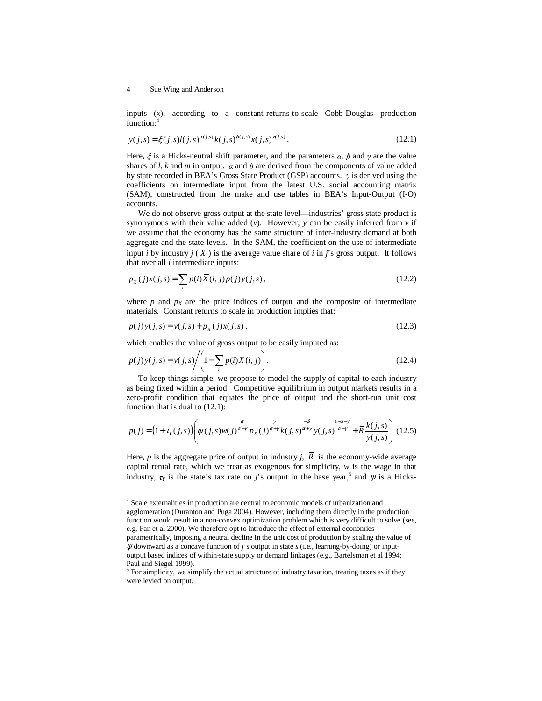$\overline{a}$ 

inputs (*x*), according to a constant-returns-to-scale Cobb-Douglas production function:<sup>4</sup>

$$
y(j,s) = \xi(j,s)l(j,s)^{\alpha(j,s)}k(j,s)^{\beta(j,s)}x(j,s)^{\gamma(j,s)}.
$$
\n(12.1)

Here,  $\xi$  is a Hicks-neutral shift parameter, and the parameters  $\alpha$ ,  $\beta$  and  $\gamma$  are the value shares of *l*, *k* and *m* in output.  $\alpha$  and  $\beta$  are derived from the components of value added by state recorded in BEA's Gross State Product (GSP) accounts. γ is derived using the coefficients on intermediate input from the latest U.S. social accounting matrix (SAM), constructed from the make and use tables in BEA's Input-Output (I-O) accounts.

We do not observe gross output at the state level—industries' gross state product is synonymous with their value added (*v*). However, *y* can be easily inferred from *v* if we assume that the economy has the same structure of inter-industry demand at both aggregate and the state levels. In the SAM, the coefficient on the use of intermediate input *i* by industry  $j(\overline{X})$  is the average value share of *i* in *j*'s gross output. It follows that over all *i* intermediate inputs:

$$
p_X(j)x(j,s) = \sum_i p(i)\bar{X}(i,j)p(j)y(j,s),
$$
\n(12.2)

where  $p$  and  $p_X$  are the price indices of output and the composite of intermediate materials. Constant returns to scale in production implies that:

$$
p(j)y(j,s) = v(j,s) + px(j)x(j,s),
$$
\n(12.3)

which enables the value of gross output to be easily imputed as:

$$
p(j)y(j,s) = v(j,s) \left(1 - \sum_{i} p(i)\overline{X}(i,j)\right).
$$
 (12.4)

To keep things simple, we propose to model the supply of capital to each industry as being fixed within a period. Competitive equilibrium in output markets results in a zero-profit condition that equates the price of output and the short-run unit cost function that is dual to (12.1):

$$
p(j) = \left(1 + \tau_Y(j,s)\right) \left(\psi(j,s)w(j)^{\frac{\alpha}{\alpha+\gamma}} p_X(j)^{\frac{\gamma}{\alpha+\gamma}} k(j,s)^{\frac{-\beta}{\alpha+\gamma}} y(j,s)^{\frac{1-\alpha-\gamma}{\alpha+\gamma}} + \overline{R}\frac{k(j,s)}{y(j,s)}\right) (12.5)
$$

Here, *p* is the aggregate price of output in industry *j*,  $\overline{R}$  is the economy-wide average capital rental rate, which we treat as exogenous for simplicity, *w* is the wage in that industry,  $\tau_Y$  is the state's tax rate on *j*'s output in the base year,<sup>5</sup> and  $\psi$  is a Hicks-

<sup>&</sup>lt;sup>4</sup> Scale externalities in production are central to economic models of urbanization and agglomeration (Duranton and Puga 2004). However, including them directly in the production function would result in a non-convex optimization problem which is very difficult to solve (see, e.g, Fan et al 2000). We therefore opt to introduce the effect of external economies parametrically, imposing a neutral decline in the unit cost of production by scaling the value of

ψ downward as a concave function of *j*'s output in state *s* (i.e., learning-by-doing) or inputoutput based indices of within-state supply or demand linkages (e.g., Bartelsman et al 1994; Paul and Siegel 1999).

<sup>&</sup>lt;sup>5</sup> For simplicity, we simplify the actual structure of industry taxation, treating taxes as if they were levied on output.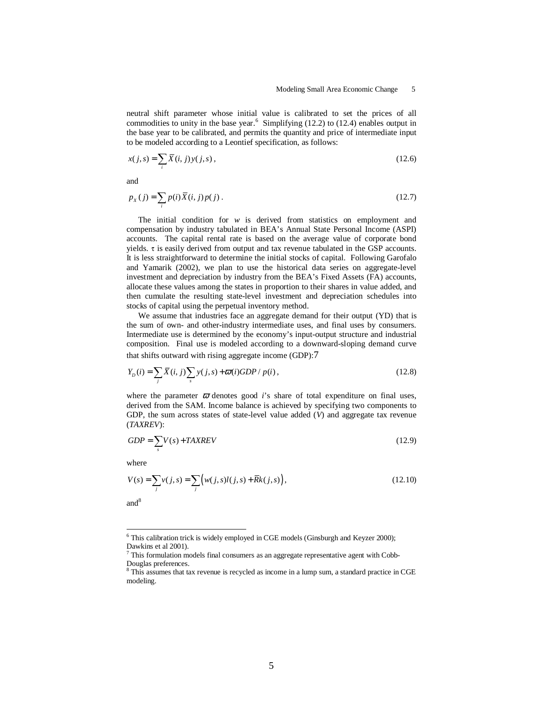neutral shift parameter whose initial value is calibrated to set the prices of all commodities to unity in the base year.<sup>6</sup> Simplifying (12.2) to (12.4) enables output in the base year to be calibrated, and permits the quantity and price of intermediate input to be modeled according to a Leontief specification, as follows:

$$
x(j,s) = \sum_{i} \overline{X}(i,j) y(j,s), \qquad (12.6)
$$

and

$$
p_X(j) = \sum_i p(i) \overline{X}(i, j) p(j) . \qquad (12.7)
$$

The initial condition for *w* is derived from statistics on employment and compensation by industry tabulated in BEA's Annual State Personal Income (ASPI) accounts. The capital rental rate is based on the average value of corporate bond yields. τ is easily derived from output and tax revenue tabulated in the GSP accounts. It is less straightforward to determine the initial stocks of capital. Following Garofalo and Yamarik (2002), we plan to use the historical data series on aggregate-level investment and depreciation by industry from the BEA's Fixed Assets (FA) accounts, allocate these values among the states in proportion to their shares in value added, and then cumulate the resulting state-level investment and depreciation schedules into stocks of capital using the perpetual inventory method.

We assume that industries face an aggregate demand for their output (YD) that is the sum of own- and other-industry intermediate uses, and final uses by consumers. Intermediate use is determined by the economy's input-output structure and industrial composition. Final use is modeled according to a downward-sloping demand curve that shifts outward with rising aggregate income (GDP):7

$$
Y_D(i) = \sum_j \overline{X}(i, j) \sum_s y(j, s) + \overline{\omega}(i) GDP / p(i), \qquad (12.8)
$$

where the parameter  $\bar{\omega}$  denotes good *i*'s share of total expenditure on final uses, derived from the SAM. Income balance is achieved by specifying two components to GDP, the sum across states of state-level value added (*V*) and aggregate tax revenue (*TAXREV*):

$$
GDP = \sum_{s} V(s) + TAXREV
$$
\n(12.9)

where

$$
V(s) = \sum_{j} v(j, s) = \sum_{j} \Big( w(j, s)l(j, s) + \overline{R}k(j, s) \Big),
$$
 (12.10)

and<sup>8</sup>

 6 This calibration trick is widely employed in CGE models (Ginsburgh and Keyzer 2000); Dawkins et al 2001).

 $7$  This formulation models final consumers as an aggregate representative agent with Cobb-Douglas preferences.

<sup>&</sup>lt;sup>8</sup> This assumes that tax revenue is recycled as income in a lump sum, a standard practice in CGE modeling.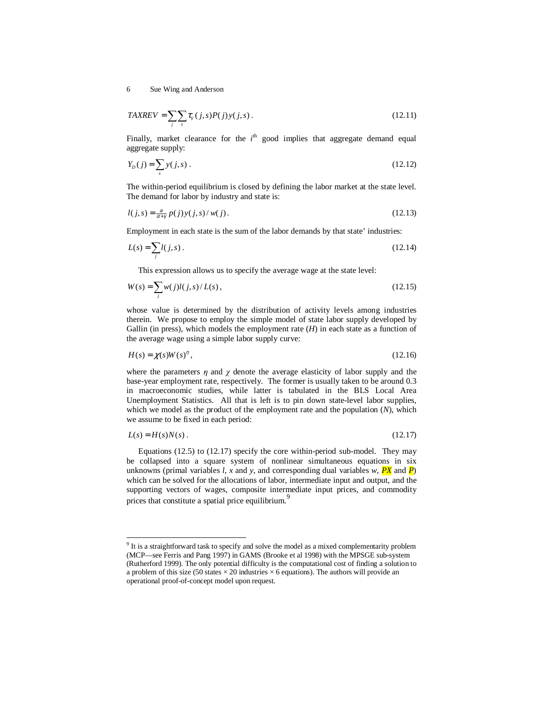$$
TAXREV = \sum_{j} \sum_{s} \tau_{\gamma}(j,s) P(j) y(j,s).
$$
\n(12.11)

Finally, market clearance for the  $i<sup>th</sup>$  good implies that aggregate demand equal aggregate supply:

$$
Y_D(j) = \sum_s y(j, s) \,. \tag{12.12}
$$

The within-period equilibrium is closed by defining the labor market at the state level. The demand for labor by industry and state is:

$$
l(j,s) = \frac{\alpha}{\alpha + \gamma} p(j) y(j,s) / w(j).
$$
\n(12.13)

Employment in each state is the sum of the labor demands by that state' industries:

$$
L(s) = \sum_{j} l(j, s) \,. \tag{12.14}
$$

This expression allows us to specify the average wage at the state level:

$$
W(s) = \sum_{j} w(j)l(j, s) / L(s),
$$
\n(12.15)

whose value is determined by the distribution of activity levels among industries therein. We propose to employ the simple model of state labor supply developed by Gallin (in press), which models the employment rate (*H*) in each state as a function of the average wage using a simple labor supply curve:

$$
H(s) = \chi(s)W(s)^{\eta},\tag{12.16}
$$

where the parameters  $\eta$  and  $\gamma$  denote the average elasticity of labor supply and the base-year employment rate, respectively. The former is usually taken to be around 0.3 in macroeconomic studies, while latter is tabulated in the BLS Local Area Unemployment Statistics. All that is left is to pin down state-level labor supplies, which we model as the product of the employment rate and the population (*N*), which we assume to be fixed in each period:

$$
L(s) = H(s)N(s) \tag{12.17}
$$

Equations (12.5) to (12.17) specify the core within-period sub-model. They may be collapsed into a square system of nonlinear simultaneous equations in six unknowns (primal variables *l*, *x* and *y*, and corresponding dual variables *w*, *PX* and *P*) which can be solved for the allocations of labor, intermediate input and output, and the supporting vectors of wages, composite intermediate input prices, and commodity prices that constitute a spatial price equilibrium.<sup>9</sup>

<sup>&</sup>lt;sup>9</sup> It is a straightforward task to specify and solve the model as a mixed complementarity problem (MCP—see Ferris and Pang 1997) in GAMS (Brooke et al 1998) with the MPSGE sub-system (Rutherford 1999). The only potential difficulty is the computational cost of finding a solution to a problem of this size (50 states  $\times$  20 industries  $\times$  6 equations). The authors will provide an operational proof-of-concept model upon request.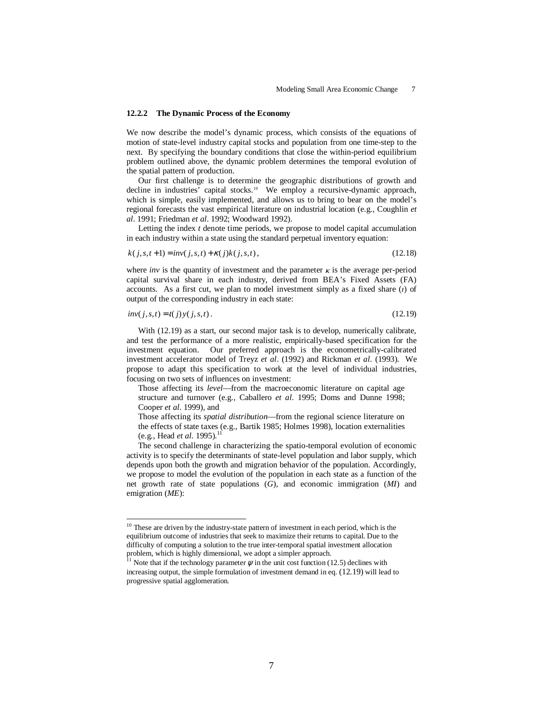### **12.2.2 The Dynamic Process of the Economy**

We now describe the model's dynamic process, which consists of the equations of motion of state-level industry capital stocks and population from one time-step to the next. By specifying the boundary conditions that close the within-period equilibrium problem outlined above, the dynamic problem determines the temporal evolution of the spatial pattern of production.

Our first challenge is to determine the geographic distributions of growth and decline in industries' capital stocks.<sup>10</sup> We employ a recursive-dynamic approach, which is simple, easily implemented, and allows us to bring to bear on the model's regional forecasts the vast empirical literature on industrial location (e.g., Coughlin *et al*. 1991; Friedman *et al*. 1992; Woodward 1992).

Letting the index *t* denote time periods, we propose to model capital accumulation in each industry within a state using the standard perpetual inventory equation:

$$
k(j, s, t+1) = inv(j, s, t) + \kappa(j)k(j, s, t),
$$
\n(12.18)

where *inv* is the quantity of investment and the parameter  $\kappa$  is the average per-period capital survival share in each industry, derived from BEA's Fixed Assets (FA) accounts. As a first cut, we plan to model investment simply as a fixed share  $(i)$  of output of the corresponding industry in each state:

$$
inv(j, s, t) = i(j)y(j, s, t).
$$
\n(12.19)

With (12.19) as a start, our second major task is to develop, numerically calibrate, and test the performance of a more realistic, empirically-based specification for the investment equation. Our preferred approach is the econometrically-calibrated investment accelerator model of Treyz *et al*. (1992) and Rickman *et al*. (1993). We propose to adapt this specification to work at the level of individual industries, focusing on two sets of influences on investment:

Those affecting its *level*—from the macroeconomic literature on capital age structure and turnover (e.g., Caballero *et al*. 1995; Doms and Dunne 1998; Cooper *et al*. 1999), and

Those affecting its *spatial distribution*—from the regional science literature on the effects of state taxes (e.g., Bartik 1985; Holmes 1998), location externalities (e.g., Head *et al.* 1995).<sup>1</sup>

The second challenge in characterizing the spatio-temporal evolution of economic activity is to specify the determinants of state-level population and labor supply, which depends upon both the growth and migration behavior of the population. Accordingly, we propose to model the evolution of the population in each state as a function of the net growth rate of state populations (*G*), and economic immigration (*MI*) and emigration (*ME*):

 $\overline{a}$ 

 $10$  These are driven by the industry-state pattern of investment in each period, which is the equilibrium outcome of industries that seek to maximize their returns to capital. Due to the difficulty of computing a solution to the true inter-temporal spatial investment allocation problem, which is highly dimensional, we adopt a simpler approach.

<sup>&</sup>lt;sup>11</sup> Note that if the technology parameter  $\psi$  in the unit cost function (12.5) declines with increasing output, the simple formulation of investment demand in eq. (12.19) will lead to progressive spatial agglomeration.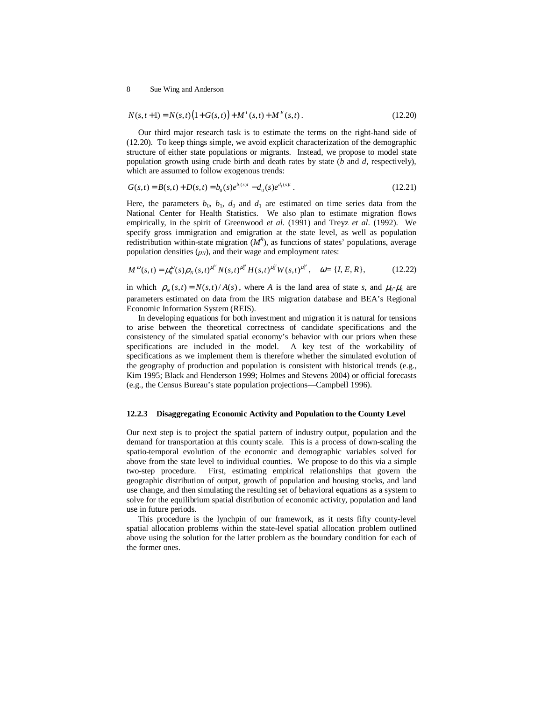$$
N(s,t+1) = N(s,t)\left(1+G(s,t)\right) + M^{t}(s,t) + M^{t}(s,t).
$$
\n(12.20)

Our third major research task is to estimate the terms on the right-hand side of (12.20). To keep things simple, we avoid explicit characterization of the demographic structure of either state populations or migrants. Instead, we propose to model state population growth using crude birth and death rates by state (*b* and *d*, respectively), which are assumed to follow exogenous trends:

$$
G(s,t) = B(s,t) + D(s,t) = b_0(s)e^{b_1(s)t} - d_0(s)e^{d_1(s)t}.
$$
\n(12.21)

Here, the parameters  $b_0$ ,  $b_1$ ,  $d_0$  and  $d_1$  are estimated on time series data from the National Center for Health Statistics. We also plan to estimate migration flows empirically, in the spirit of Greenwood *et al*. (1991) and Treyz *et al*. (1992). We specify gross immigration and emigration at the state level, as well as population redistribution within-state migration  $(M<sup>R</sup>)$ , as functions of states' populations, average population densities  $(\rho_N)$ , and their wage and employment rates:

$$
M^{\omega}(s,t) = \mu_0^{\omega}(s)\rho_N(s,t)^{\mu_1^{\omega}} N(s,t)^{\mu_2^{\omega}} H(s,t)^{\mu_3^{\omega}} W(s,t)^{\mu_4^{\omega}}, \quad \omega = \{I, E, R\},
$$
 (12.22)

in which  $\rho_N(s,t) = N(s,t)/A(s)$ , where *A* is the land area of state *s*, and  $\mu_0$ - $\mu_4$  are parameters estimated on data from the IRS migration database and BEA's Regional Economic Information System (REIS).

In developing equations for both investment and migration it is natural for tensions to arise between the theoretical correctness of candidate specifications and the consistency of the simulated spatial economy's behavior with our priors when these specifications are included in the model. A key test of the workability of specifications as we implement them is therefore whether the simulated evolution of the geography of production and population is consistent with historical trends (e.g., Kim 1995; Black and Henderson 1999; Holmes and Stevens 2004) or official forecasts (e.g., the Census Bureau's state population projections—Campbell 1996).

### **12.2.3 Disaggregating Economic Activity and Population to the County Level**

Our next step is to project the spatial pattern of industry output, population and the demand for transportation at this county scale. This is a process of down-scaling the spatio-temporal evolution of the economic and demographic variables solved for above from the state level to individual counties. We propose to do this via a simple two-step procedure. First, estimating empirical relationships that govern the geographic distribution of output, growth of population and housing stocks, and land use change, and then simulating the resulting set of behavioral equations as a system to solve for the equilibrium spatial distribution of economic activity, population and land use in future periods.

This procedure is the lynchpin of our framework, as it nests fifty county-level spatial allocation problems within the state-level spatial allocation problem outlined above using the solution for the latter problem as the boundary condition for each of the former ones.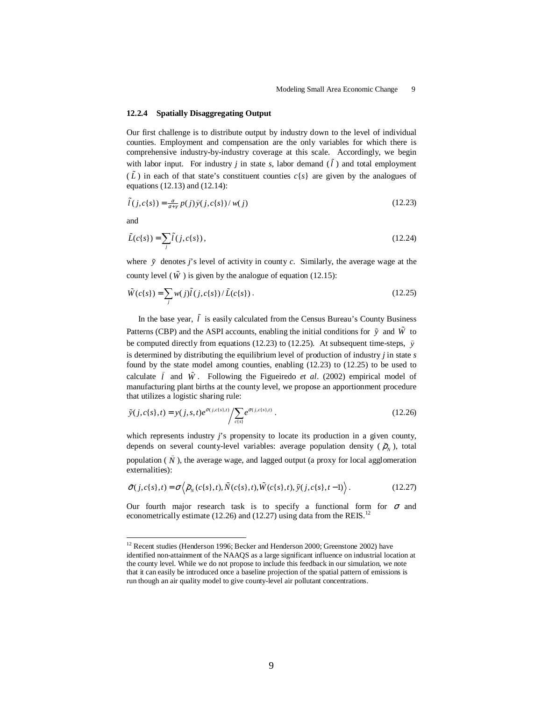### **12.2.4 Spatially Disaggregating Output**

Our first challenge is to distribute output by industry down to the level of individual counties. Employment and compensation are the only variables for which there is comprehensive industry-by-industry coverage at this scale. Accordingly, we begin with labor input. For industry *j* in state *s*, labor demand  $(\tilde{l})$  and total employment  $(L)$  in each of that state's constituent counties  $c{s}$  are given by the analogues of equations (12.13) and (12.14):

$$
\tilde{l}(j,c\{s\}) = \frac{\alpha}{\alpha + \gamma} p(j)\tilde{y}(j,c\{s\}) / w(j)
$$
\n(12.23)

and

 $\overline{a}$ 

$$
\tilde{L}(c\{s\}) = \sum_{j} \tilde{l}(j, c\{s\}),\tag{12.24}
$$

where  $\tilde{y}$  denotes  $\tilde{y}$ 's level of activity in county  $c$ . Similarly, the average wage at the county level  $(\tilde{W})$  is given by the analogue of equation (12.15):

$$
\tilde{W}(c\{s\}) = \sum_{j} w(j)\tilde{l}(j, c\{s\}) / \tilde{L}(c\{s\}).
$$
\n(12.25)

In the base year,  $\tilde{l}$  is easily calculated from the Census Bureau's County Business Patterns (CBP) and the ASPI accounts, enabling the initial conditions for  $\tilde{y}$  and  $\tilde{W}$  to be computed directly from equations (12.23) to (12.25). At subsequent time-steps,  $\tilde{y}$ is determined by distributing the equilibrium level of production of industry *j* in state *s* found by the state model among counties, enabling (12.23) to (12.25) to be used to calculate  $\tilde{l}$  and  $\tilde{W}$ . Following the Figueiredo *et al.* (2002) empirical model of manufacturing plant births at the county level, we propose an apportionment procedure that utilizes a logistic sharing rule:

$$
\tilde{y}(j,c\{s\},t) = y(j,s,t)e^{\tilde{\sigma}(j,c\{s\},t)} / \sum_{c\{s\}} e^{\tilde{\sigma}(j,c\{s\},t)}.
$$
\n(12.26)

which represents industry *j*'s propensity to locate its production in a given county, depends on several county-level variables: average population density  $(\tilde{\rho}_N)$ , total

population ( $\tilde{N}$ ), the average wage, and lagged output (a proxy for local agglomeration externalities):

$$
\tilde{\sigma}(j,c\{s\},t) = \sigma \langle \tilde{\rho}_N(c\{s\},t), \tilde{N}(c\{s\},t), \tilde{W}(c\{s\},t), \tilde{y}(j,c\{s\},t-1) \rangle. \tag{12.27}
$$

Our fourth major research task is to specify a functional form for  $\sigma$  and econometrically estimate (12.26) and (12.27) using data from the REIS.<sup>12</sup>

<sup>&</sup>lt;sup>12</sup> Recent studies (Henderson 1996; Becker and Henderson 2000; Greenstone 2002) have identified non-attainment of the NAAQS as a large significant influence on industrial location at the county level. While we do not propose to include this feedback in our simulation, we note that it can easily be introduced once a baseline projection of the spatial pattern of emissions is run though an air quality model to give county-level air pollutant concentrations.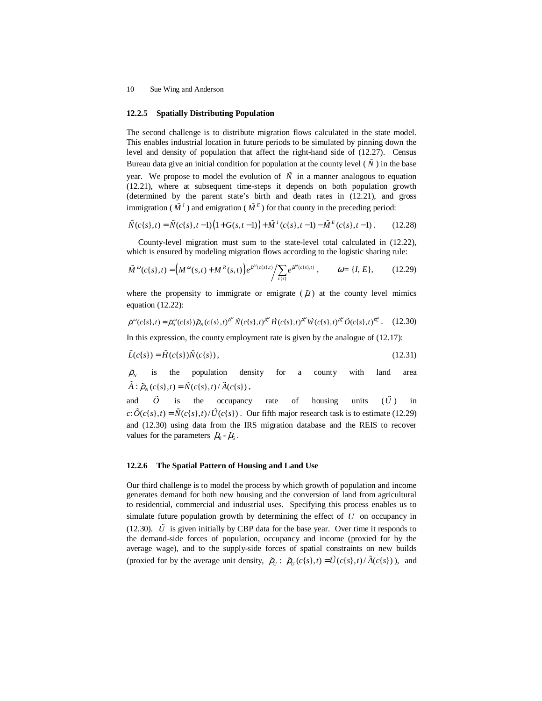### **12.2.5 Spatially Distributing Population**

The second challenge is to distribute migration flows calculated in the state model. This enables industrial location in future periods to be simulated by pinning down the level and density of population that affect the right-hand side of (12.27). Census Bureau data give an initial condition for population at the county level  $(N)$  in the base year. We propose to model the evolution of  $\tilde{N}$  in a manner analogous to equation (12.21), where at subsequent time-steps it depends on both population growth (determined by the parent state's birth and death rates in (12.21), and gross immigration ( $\tilde{M}^I$ ) and emigration ( $\tilde{M}^E$ ) for that county in the preceding period:

$$
\tilde{N}(c\{s\},t) = \tilde{N}(c\{s\},t-1)\left(1+G(s,t-1)\right) + \tilde{M}^{t}(c\{s\},t-1) - \tilde{M}^{E}(c\{s\},t-1).
$$
 (12.28)

County-level migration must sum to the state-level total calculated in (12.22), which is ensured by modeling migration flows according to the logistic sharing rule:

$$
\tilde{M}^{\omega}(c\{s\},t) = \left(M^{\omega}(s,t) + M^{R}(s,t)\right)e^{\tilde{\mu}^{\omega}(c\{s\},t)} / \sum_{c\{s\}} e^{\tilde{\mu}^{\omega}(c\{s\},t)}, \qquad \omega = \{I, E\},\tag{12.29}
$$

where the propensity to immigrate or emigrate ( $\tilde{\mu}$ ) at the county level mimics equation (12.22):

$$
\tilde{\mu}^{\omega}(c\{s\},t) = \tilde{\mu}_0^{\omega}(c\{s\})\tilde{\rho}_N(c\{s\},t)^{\tilde{\mu}_1^{\omega}}\tilde{N}(c\{s\},t)^{\tilde{\mu}_2^{\omega}}\tilde{H}(c\{s\},t)^{\tilde{\mu}_3^{\omega}}\tilde{W}(c\{s\},t)^{\tilde{\mu}_4^{\omega}}\tilde{O}(c\{s\},t)^{\tilde{\mu}_5^{\omega}}.
$$
 (12.30)

In this expression, the county employment rate is given by the analogue of (12.17):

$$
\tilde{L}(c\{s\}) = \tilde{H}(c\{s\})\tilde{N}(c\{s\}),\tag{12.31}
$$

 $\tilde{\rho}_{\scriptscriptstyle N}$  is the population density for a county with land area  $\tilde{A}$  :  $\tilde{\rho}_N(c\{s\},t) = \tilde{N}(c\{s\},t) / \tilde{A}(c\{s\})$ ,

and  $\tilde{O}$ is the occupancy rate of housing units  $(\tilde{U})$ ) in  $c: \tilde{O}(c\{s\},t) = \tilde{N}(c\{s\},t)/\tilde{U}(c\{s\})$ . Our fifth major research task is to estimate (12.29) and (12.30) using data from the IRS migration database and the REIS to recover values for the parameters  $\tilde{\mu}_0$  -  $\tilde{\mu}_5$ .

### **12.2.6 The Spatial Pattern of Housing and Land Use**

Our third challenge is to model the process by which growth of population and income generates demand for both new housing and the conversion of land from agricultural to residential, commercial and industrial uses. Specifying this process enables us to simulate future population growth by determining the effect of  $\tilde{U}$  on occupancy in (12.30).  $\tilde{U}$  is given initially by CBP data for the base year. Over time it responds to the demand-side forces of population, occupancy and income (proxied for by the average wage), and to the supply-side forces of spatial constraints on new builds (proxied for by the average unit density,  $\tilde{\rho}_U : \tilde{\rho}_U(c\{s\},t) = \tilde{U}(c\{s\},t) / \tilde{A}(c\{s\})$ ), and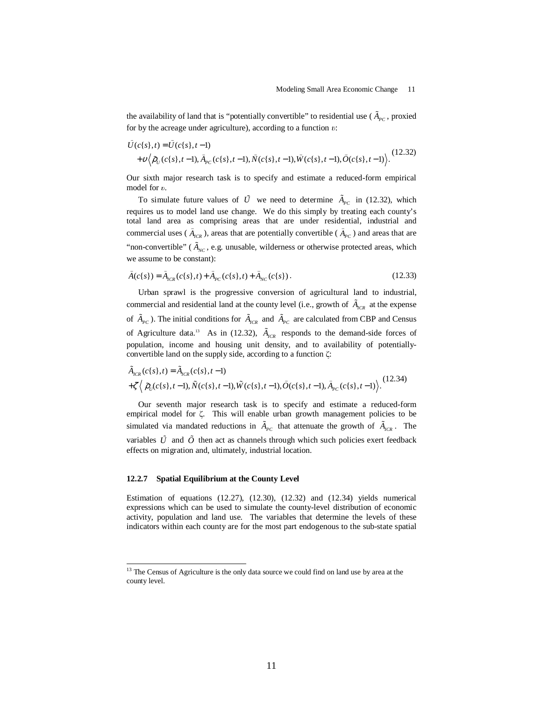the availability of land that is "potentially convertible" to residential use ( $\tilde{A}_{pc}$ , proxied for by the acreage under agriculture), according to a function  $v$ :

$$
\tilde{U}(c\{s\},t) = \tilde{U}(c\{s\},t-1) \n+ v \langle \tilde{\rho}_U(c\{s\},t-1), \tilde{A}_{PC}(c\{s\},t-1), \tilde{N}(c\{s\},t-1), \tilde{W}(c\{s\},t-1), \tilde{O}(c\{s\},t-1) \rangle
$$
\n(12.32)

Our sixth major research task is to specify and estimate a reduced-form empirical model for *v*.

To simulate future values of  $\tilde{U}$  we need to determine  $\tilde{A}_{PC}$  in (12.32), which requires us to model land use change. We do this simply by treating each county's total land area as comprising areas that are under residential, industrial and commercial uses ( $\tilde{A}_{ICR}$ ), areas that are potentially convertible ( $\tilde{A}_{PC}$ ) and areas that are "non-convertible" ( $\tilde{A}_{NC}$ , e.g. unusable, wilderness or otherwise protected areas, which we assume to be constant):

$$
\tilde{A}(c\{s\}) = \tilde{A}_{\text{ICR}}(c\{s\},t) + \tilde{A}_{\text{PC}}(c\{s\},t) + \tilde{A}_{\text{NC}}(c\{s\}).
$$
\n(12.33)

Urban sprawl is the progressive conversion of agricultural land to industrial, commercial and residential land at the county level (i.e., growth of  $\tilde{A}_{ICR}$  at the expense of  $\tilde{A}_{pc}$ ). The initial conditions for  $\tilde{A}_{ICR}$  and  $\tilde{A}_{pc}$  are calculated from CBP and Census of Agriculture data.<sup>13</sup> As in (12.32),  $\tilde{A}_{ICR}$  responds to the demand-side forces of population, income and housing unit density, and to availability of potentiallyconvertible land on the supply side, according to a function ζ:

$$
\tilde{A}_{ICR}(c\{s\},t) = \tilde{A}_{ICR}(c\{s\},t-1) \n+ \zeta \langle \tilde{\rho}_U(c\{s\},t-1), \tilde{N}(c\{s\},t-1), \tilde{W}(c\{s\},t-1), \tilde{O}(c\{s\},t-1), \tilde{A}_{PC}(c\{s\},t-1) \rangle
$$
\n(12.34)

Our seventh major research task is to specify and estimate a reduced-form empirical model for ζ. This will enable urban growth management policies to be simulated via mandated reductions in  $\tilde{A}_{PC}$  that attenuate the growth of  $\tilde{A}_{ICR}$ . The variables  $\tilde{U}$  and  $\tilde{O}$  then act as channels through which such policies exert feedback effects on migration and, ultimately, industrial location.

#### **12.2.7 Spatial Equilibrium at the County Level**

 $\overline{a}$ 

Estimation of equations  $(12.27)$ ,  $(12.30)$ ,  $(12.32)$  and  $(12.34)$  yields numerical expressions which can be used to simulate the county-level distribution of economic activity, population and land use. The variables that determine the levels of these indicators within each county are for the most part endogenous to the sub-state spatial

<sup>&</sup>lt;sup>13</sup> The Census of Agriculture is the only data source we could find on land use by area at the county level.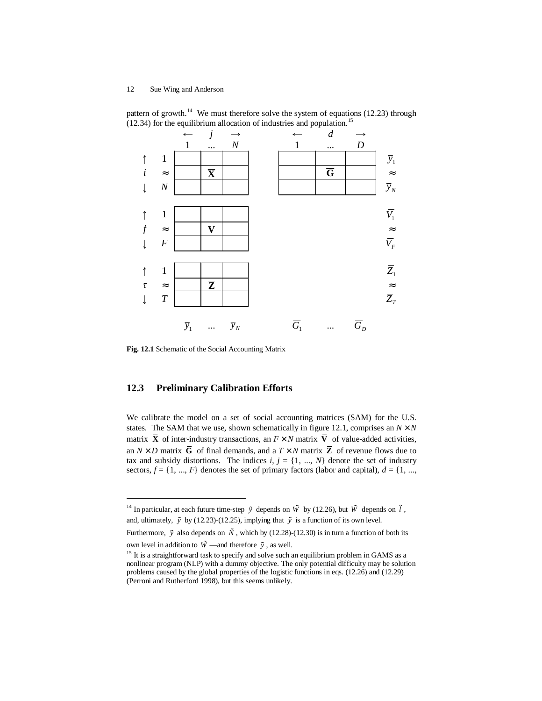

pattern of growth.<sup>14</sup> We must therefore solve the system of equations (12.23) through  $(12.34)$  for the equilibrium allocation of industries and population.<sup>15</sup>

**Fig. 12.1** Schematic of the Social Accounting Matrix

### **12.3 Preliminary Calibration Efforts**

We calibrate the model on a set of social accounting matrices (SAM) for the U.S. states. The SAM that we use, shown schematically in figure 12.1, comprises an  $N \times N$ matrix  $\bar{\mathbf{X}}$  of inter-industry transactions, an  $F \times N$  matrix  $\bar{\mathbf{V}}$  of value-added activities, an  $N \times D$  matrix  $\overline{G}$  of final demands, and a  $T \times N$  matrix  $\overline{Z}$  of revenue flows due to tax and subsidy distortions. The indices  $i, j = \{1, ..., N\}$  denote the set of industry sectors,  $f = \{1, ..., F\}$  denotes the set of primary factors (labor and capital),  $d = \{1, ..., F\}$ 

 $\overline{a}$ 

<sup>&</sup>lt;sup>14</sup> In particular, at each future time-step  $\tilde{y}$  depends on  $\tilde{W}$  by (12.26), but  $\tilde{W}$  depends on  $\tilde{l}$ , and, ultimately,  $\tilde{y}$  by (12.23)-(12.25), implying that  $\tilde{y}$  is a function of its own level.

Furthermore,  $\tilde{y}$  also depends on  $\tilde{N}$ , which by (12.28)-(12.30) is in turn a function of both its

own level in addition to  $\tilde{W}$  —and therefore  $\tilde{y}$  , as well.

<sup>&</sup>lt;sup>15</sup> It is a straightforward task to specify and solve such an equilibrium problem in GAMS as a nonlinear program (NLP) with a dummy objective. The only potential difficulty may be solution problems caused by the global properties of the logistic functions in eqs. (12.26) and (12.29) (Perroni and Rutherford 1998), but this seems unlikely.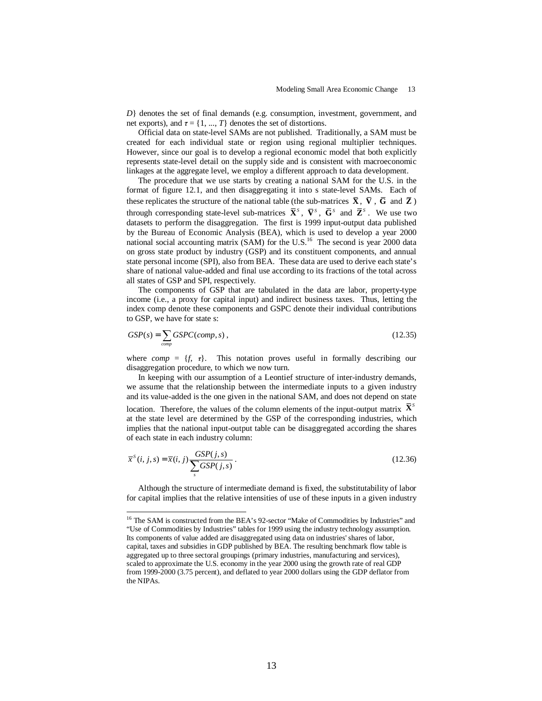*D*} denotes the set of final demands (e.g. consumption, investment, government, and net exports), and  $\tau = \{1, ..., T\}$  denotes the set of distortions.

Official data on state-level SAMs are not published. Traditionally, a SAM must be created for each individual state or region using regional multiplier techniques. However, since our goal is to develop a regional economic model that both explicitly represents state-level detail on the supply side and is consistent with macroeconomic linkages at the aggregate level, we employ a different approach to data development.

The procedure that we use starts by creating a national SAM for the U.S. in the format of figure 12.1, and then disaggregating it into s state-level SAMs. Each of these replicates the structure of the national table (the sub-matrices  $\bar{\mathbf{X}}$ ,  $\bar{\mathbf{V}}$ ,  $\bar{\mathbf{G}}$  and  $\bar{\mathbf{Z}}$ ) through corresponding state-level sub-matrices  $\bar{\mathbf{X}}^s$ ,  $\bar{\mathbf{V}}^s$ ,  $\bar{\mathbf{G}}^s$  and  $\bar{\mathbf{Z}}^s$ . We use two datasets to perform the disaggregation. The first is 1999 input-output data published by the Bureau of Economic Analysis (BEA), which is used to develop a year 2000 national social accounting matrix (SAM) for the U.S. <sup>16</sup> The second is year 2000 data on gross state product by industry (GSP) and its constituent components, and annual state personal income (SPI), also from BEA. These data are used to derive each state's share of national value-added and final use according to its fractions of the total across all states of GSP and SPI, respectively.

The components of GSP that are tabulated in the data are labor, property-type income (i.e., a proxy for capital input) and indirect business taxes. Thus, letting the index comp denote these components and GSPC denote their individual contributions to GSP, we have for state s:

$$
GSP(s) = \sum_{comp} GSPC(comp, s) ,
$$
\n(12.35)

where *comp* =  $\{f, \tau\}$ . This notation proves useful in formally describing our disaggregation procedure, to which we now turn.

In keeping with our assumption of a Leontief structure of inter-industry demands, we assume that the relationship between the intermediate inputs to a given industry and its value-added is the one given in the national SAM, and does not depend on state

location. Therefore, the values of the column elements of the input-output matrix  $\bar{\mathbf{X}}^s$ at the state level are determined by the GSP of the corresponding industries, which implies that the national input-output table can be disaggregated according the shares of each state in each industry column:

$$
\overline{x}^{s}(i, j, s) = \overline{x}(i, j) \frac{GSP(j, s)}{\sum_{s} GSP(j, s)}.
$$
\n(12.36)

Although the structure of intermediate demand is fixed, the substitutability of labor for capital implies that the relative intensities of use of these inputs in a given industry

 $\overline{a}$ 

<sup>&</sup>lt;sup>16</sup> The SAM is constructed from the BEA's 92-sector "Make of Commodities by Industries" and "Use of Commodities by Industries" tables for 1999 using the industry technology assumption. Its components of value added are disaggregated using data on industries' shares of labor, capital, taxes and subsidies in GDP published by BEA. The resulting benchmark flow table is aggregated up to three sectoral groupings (primary industries, manufacturing and services), scaled to approximate the U.S. economy in the year 2000 using the growth rate of real GDP from 1999-2000 (3.75 percent), and deflated to year 2000 dollars using the GDP deflator from the NIPAs.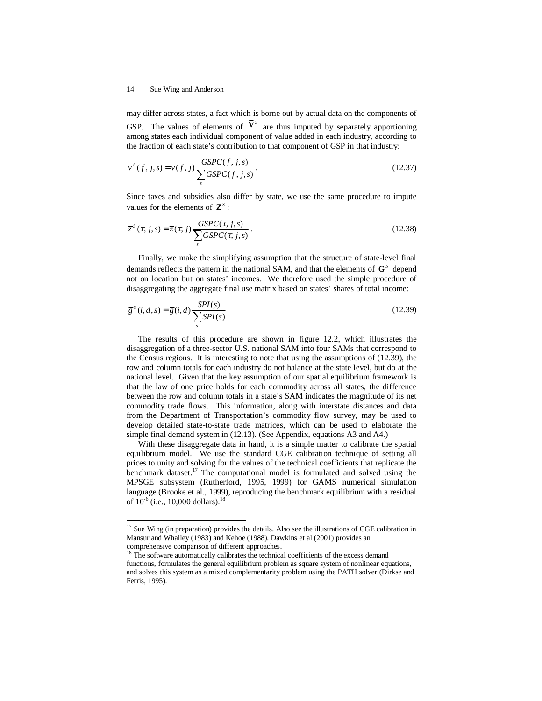$\overline{a}$ 

may differ across states, a fact which is borne out by actual data on the components of GSP. The values of elements of  $\overline{V}^s$  are thus imputed by separately apportioning among states each individual component of value added in each industry, according to the fraction of each state's contribution to that component of GSP in that industry:

$$
\overline{v}^{S}(f, j, s) = \overline{v}(f, j) \frac{GSPC(f, j, s)}{\sum_{s} GSPC(f, j, s)}.
$$
\n(12.37)

Since taxes and subsidies also differ by state, we use the same procedure to impute values for the elements of  $\overline{Z}^s$ :

$$
\overline{z}^{s}(\tau, j, s) = \overline{z}(\tau, j) \frac{GSPC(\tau, j, s)}{\sum_{s} GSPC(\tau, j, s)}.
$$
\n(12.38)

Finally, we make the simplifying assumption that the structure of state-level final demands reflects the pattern in the national SAM, and that the elements of  $\overline{G}^s$  depend not on location but on states' incomes. We therefore used the simple procedure of disaggregating the aggregate final use matrix based on states' shares of total income:

$$
\overline{g}^{s}(i,d,s) = \overline{g}(i,d) \frac{SPI(s)}{\sum_{s} SPI(s)}.
$$
\n(12.39)

The results of this procedure are shown in figure 12.2, which illustrates the disaggregation of a three-sector U.S. national SAM into four SAMs that correspond to the Census regions. It is interesting to note that using the assumptions of (12.39), the row and column totals for each industry do not balance at the state level, but do at the national level. Given that the key assumption of our spatial equilibrium framework is that the law of one price holds for each commodity across all states, the difference between the row and column totals in a state's SAM indicates the magnitude of its net commodity trade flows. This information, along with interstate distances and data from the Department of Transportation's commodity flow survey, may be used to develop detailed state-to-state trade matrices, which can be used to elaborate the simple final demand system in (12.13). (See Appendix, equations A3 and A4.)

With these disaggregate data in hand, it is a simple matter to calibrate the spatial equilibrium model. We use the standard CGE calibration technique of setting all prices to unity and solving for the values of the technical coefficients that replicate the benchmark dataset.<sup>17</sup> The computational model is formulated and solved using the MPSGE subsystem (Rutherford, 1995, 1999) for GAMS numerical simulation language (Brooke et al., 1999), reproducing the benchmark equilibrium with a residual of  $10^{-6}$  (i.e., 10,000 dollars).<sup>18</sup>

<sup>&</sup>lt;sup>17</sup> Sue Wing (in preparation) provides the details. Also see the illustrations of CGE calibration in Mansur and Whalley (1983) and Kehoe (1988). Dawkins et al (2001) provides an comprehensive comparison of different approaches.

<sup>&</sup>lt;sup>18</sup> The software automatically calibrates the technical coefficients of the excess demand functions, formulates the general equilibrium problem as square system of nonlinear equations, and solves this system as a mixed complementarity problem using the PATH solver (Dirkse and Ferris, 1995).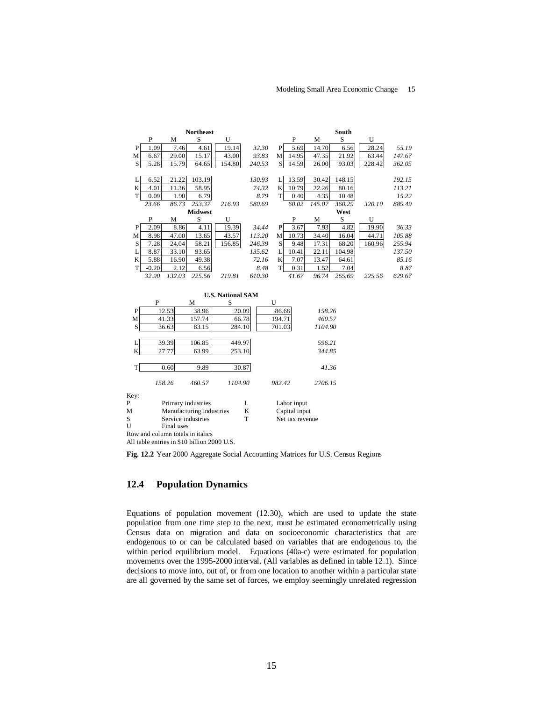#### Modeling Small Area Economic Change 15

|                      | <b>Northeast</b>                                         |            |                                             |                          |        |              |                 |         | South  |        |        |
|----------------------|----------------------------------------------------------|------------|---------------------------------------------|--------------------------|--------|--------------|-----------------|---------|--------|--------|--------|
|                      | $\mathbf P$                                              | M          | S                                           | U                        |        |              | P               | M       | S      | U      |        |
| P                    | 1.09                                                     | 7.46       | 4.61                                        | 19.14                    | 32.30  | $\mathbf{P}$ | 5.69            | 14.70   | 6.56   | 28.24  | 55.19  |
| M                    | 6.67                                                     | 29.00      | 15.17                                       | 43.00                    | 93.83  | M            | 14.95           | 47.35   | 21.92  | 63.44  | 147.67 |
| S                    | 5.28                                                     | 15.79      | 64.65                                       | 154.80                   | 240.53 | S            | 14.59           | 26.00   | 93.03  | 228.42 | 362.05 |
|                      |                                                          |            |                                             |                          |        |              |                 |         |        |        |        |
| L                    | 6.52                                                     | 21.22      | 103.19                                      |                          | 130.93 | L            | 13.59           | 30.42   | 148.15 |        | 192.15 |
| K                    | 4.01                                                     | 11.36      | 58.95                                       |                          | 74.32  | K            | 10.79           | 22.26   | 80.16  |        | 113.21 |
| T                    | 0.09                                                     | 1.90       | 6.79                                        |                          | 8.79   | <b>T</b>     | 0.40            | 4.35    | 10.48  |        | 15.22  |
|                      | 23.66                                                    | 86.73      | 253.37                                      | 216.93                   | 580.69 |              | 60.02           | 145.07  | 360.29 | 320.10 | 885.49 |
|                      |                                                          |            | <b>Midwest</b>                              |                          |        |              |                 |         | West   |        |        |
|                      | ${\bf P}$                                                | M          | S                                           | U                        |        |              | $\mathbf P$     | M       | S      | U      |        |
| $\mathbf{P}$         | 2.09                                                     | 8.86       | 4.11                                        | 19.39                    | 34.44  | $\mathbf{P}$ | 3.67            | 7.93    | 4.82   | 19.90  | 36.33  |
| M                    | 8.98                                                     | 47.00      | 13.65                                       | 43.57                    | 113.20 | M            | 10.73           | 34.40   | 16.04  | 44.71  | 105.88 |
| $\mathbf S$          | 7.28                                                     | 24.04      | 58.21                                       | 156.85                   | 246.39 | S            | 9.48            | 17.31   | 68.20  | 160.96 | 255.94 |
| L                    | 8.87                                                     | 33.10      | 93.65                                       |                          | 135.62 | L            | 10.41           | 22.11   | 104.98 |        | 137.50 |
| $\mathbf K$          | 5.88                                                     | 16.90      | 49.38                                       |                          | 72.16  | K            | 7.07            | 13.47   | 64.61  |        | 85.16  |
| T                    | $-0.20$                                                  | 2.12       | 6.56                                        |                          | 8.48   | T            | 0.31            | 1.52    | 7.04   |        | 8.87   |
|                      | 32.90                                                    | 132.03     | 225.56                                      | 219.81                   | 610.30 |              | 41.67           | 96.74   | 265.69 | 225.56 | 629.67 |
|                      |                                                          |            |                                             |                          |        |              |                 |         |        |        |        |
|                      |                                                          |            |                                             | <b>U.S. National SAM</b> |        |              |                 |         |        |        |        |
|                      | $\mathbf{P}$                                             |            | M                                           | S                        |        | U            |                 |         |        |        |        |
| $\overline{P}$       |                                                          | 12.53      | 38.96                                       | 20.09                    |        | 86.68        |                 | 158.26  |        |        |        |
| M                    |                                                          | 41.33      | 157.74                                      | 66.78                    |        | 194.71       |                 | 460.57  |        |        |        |
| S                    |                                                          | 36.63      | 83.15                                       | 284.10                   |        | 701.03       |                 | 1104.90 |        |        |        |
|                      |                                                          |            |                                             |                          |        |              |                 |         |        |        |        |
| L                    |                                                          | 39.39      | 106.85                                      | 449.97                   |        |              |                 | 596.21  |        |        |        |
| K                    |                                                          | 27.77      | 63.99                                       | 253.10                   |        |              |                 | 344.85  |        |        |        |
|                      |                                                          |            |                                             |                          |        |              |                 |         |        |        |        |
| T                    |                                                          | 0.60       | 9.89                                        | 30.87                    |        |              |                 | 41.36   |        |        |        |
|                      |                                                          |            |                                             |                          |        |              |                 |         |        |        |        |
|                      |                                                          | 158.26     | 460.57                                      | 1104.90                  |        | 982.42       |                 | 2706.15 |        |        |        |
|                      |                                                          |            |                                             |                          |        |              |                 |         |        |        |        |
| Key:<br>$\mathbf{P}$ |                                                          |            |                                             |                          |        |              | Labor input     |         |        |        |        |
| M                    | Primary industries<br>L                                  |            |                                             |                          |        |              | Capital input   |         |        |        |        |
| S                    | Manufacturing industries<br>K<br>Service industries<br>T |            |                                             |                          |        |              | Net tax revenue |         |        |        |        |
| U                    |                                                          | Final uses |                                             |                          |        |              |                 |         |        |        |        |
|                      |                                                          |            | Row and column totals in italics            |                          |        |              |                 |         |        |        |        |
|                      |                                                          |            | All table entries in \$10 billion 2000 U.S. |                          |        |              |                 |         |        |        |        |
|                      |                                                          |            |                                             |                          |        |              |                 |         |        |        |        |

**Fig. 12.2** Year 2000 Aggregate Social Accounting Matrices for U.S. Census Regions

# **12.4 Population Dynamics**

Equations of population movement (12.30), which are used to update the state population from one time step to the next, must be estimated econometrically using Census data on migration and data on socioeconomic characteristics that are endogenous to or can be calculated based on variables that are endogenous to, the within period equilibrium model. Equations (40a-c) were estimated for population movements over the 1995-2000 interval. (All variables as defined in table 12.1). Since decisions to move into, out of, or from one location to another within a particular state are all governed by the same set of forces, we employ seemingly unrelated regression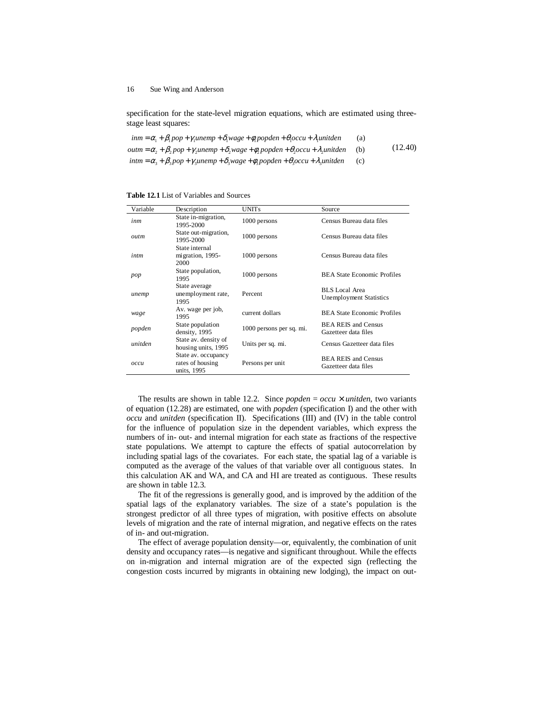specification for the state-level migration equations, which are estimated using threestage least squares:

| $inm = \alpha_1 + \beta_1 pop + \gamma_1$ unemp + $\delta_1 wage + \phi_1 popden + \theta_1 occu + \lambda_1 unitden$              | (a) |         |
|------------------------------------------------------------------------------------------------------------------------------------|-----|---------|
| outm = $\alpha_2 + \beta_2$ pop + $\gamma_2$ unemp + $\delta_2$ wage + $\phi$ , popden + $\theta_2$ occu + $\lambda$ , unitden (b) |     | (12.40) |
| $intm = \alpha_s + \beta_s pop + \gamma_s unemp + \delta_s wage + \phi_s popden + \theta_s occur + \lambda_s unitden$              | (c) |         |

| Variable | Description                                 | UNITs                    | Source                                             |
|----------|---------------------------------------------|--------------------------|----------------------------------------------------|
| inm      | State in-migration,<br>1995-2000            | 1000 persons             | Census Bureau data files                           |
| outm     | State out-migration,<br>1995-2000           | 1000 persons             | Census Bureau data files                           |
| intm     | State internal<br>migration, 1995-<br>2000  | 1000 persons             | Census Bureau data files                           |
| pop      | State population,<br>1995                   | 1000 persons             | <b>BEA State Economic Profiles</b>                 |
| unemp    | State average<br>unemployment rate,<br>1995 | Percent                  | <b>BLS</b> Local Area<br>Unemployment Statistics   |
| wage     | Av. wage per job,<br>1995                   | current dollars          | <b>BEA State Economic Profiles</b>                 |
| popden   | State population<br>density, 1995           | 1000 persons per sq. mi. | <b>BEA REIS and Census</b><br>Gazetteer data files |
| unitden  | State av. density of<br>housing units, 1995 | Units per sq. mi.        | Census Gazetteer data files                        |

**Table 12.1** List of Variables and Sources

State av. occupancy rates of housing units, 1995

*occu* 

The results are shown in table 12.2. Since  $popden = occu \times unitden$ , two variants of equation (12.28) are estimated, one with *popden* (specification I) and the other with *occu* and *unitden* (specification II). Specifications (III) and (IV) in the table control for the influence of population size in the dependent variables, which express the numbers of in- out- and internal migration for each state as fractions of the respective state populations. We attempt to capture the effects of spatial autocorrelation by including spatial lags of the covariates. For each state, the spatial lag of a variable is computed as the average of the values of that variable over all contiguous states. In this calculation AK and WA, and CA and HI are treated as contiguous. These results are shown in table 12.3.

Persons per unit BEA REIS and Census

Gazetteer data files

The fit of the regressions is generally good, and is improved by the addition of the spatial lags of the explanatory variables. The size of a state's population is the strongest predictor of all three types of migration, with positive effects on absolute levels of migration and the rate of internal migration, and negative effects on the rates of in- and out-migration.

The effect of average population density—or, equivalently, the combination of unit density and occupancy rates—is negative and significant throughout. While the effects on in-migration and internal migration are of the expected sign (reflecting the congestion costs incurred by migrants in obtaining new lodging), the impact on out-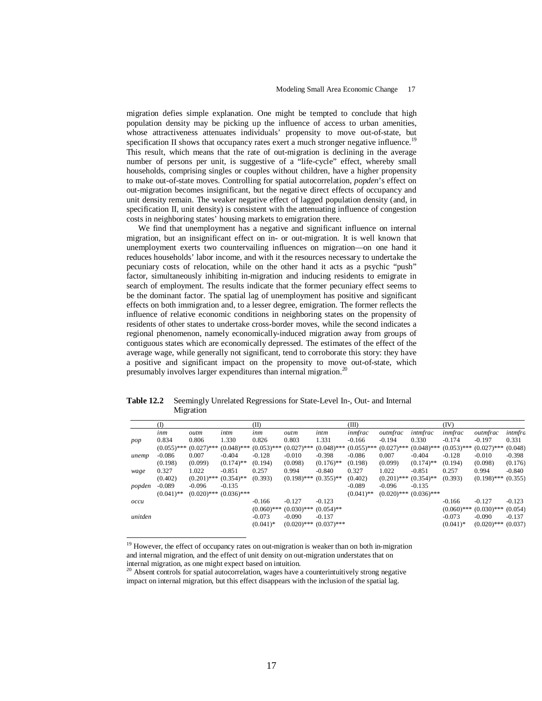#### Modeling Small Area Economic Change 17

migration defies simple explanation. One might be tempted to conclude that high population density may be picking up the influence of access to urban amenities, whose attractiveness attenuates individuals' propensity to move out-of-state, but specification II shows that occupancy rates exert a much stronger negative influence.<sup>19</sup> This result, which means that the rate of out-migration is declining in the average number of persons per unit, is suggestive of a "life-cycle" effect, whereby small households, comprising singles or couples without children, have a higher propensity to make out-of-state moves. Controlling for spatial autocorrelation, *popden*'s effect on out-migration becomes insignificant, but the negative direct effects of occupancy and unit density remain. The weaker negative effect of lagged population density (and, in specification II, unit density) is consistent with the attenuating influence of congestion costs in neighboring states' housing markets to emigration there.

We find that unemployment has a negative and significant influence on internal migration, but an insignificant effect on in- or out-migration. It is well known that unemployment exerts two countervailing influences on migration—on one hand it reduces households' labor income, and with it the resources necessary to undertake the pecuniary costs of relocation, while on the other hand it acts as a psychic "push" factor, simultaneously inhibiting in-migration and inducing residents to emigrate in search of employment. The results indicate that the former pecuniary effect seems to be the dominant factor. The spatial lag of unemployment has positive and significant effects on both immigration and, to a lesser degree, emigration. The former reflects the influence of relative economic conditions in neighboring states on the propensity of residents of other states to undertake cross-border moves, while the second indicates a regional phenomenon, namely economically-induced migration away from groups of contiguous states which are economically depressed. The estimates of the effect of the average wage, while generally not significant, tend to corroborate this story: they have a positive and significant impact on the propensity to move out-of-state, which presumably involves larger expenditures than internal migration.<sup>20</sup>

**Table 12.2** Seemingly Unrelated Regressions for State-Level In-, Out- and Internal Migration

|         | D             |               |                             | (II)                        |               |                             | (III)        |               |                             | (IV)          |               |          |
|---------|---------------|---------------|-----------------------------|-----------------------------|---------------|-----------------------------|--------------|---------------|-----------------------------|---------------|---------------|----------|
|         | inm           | outm          | intm                        | inm                         | outm          | intm                        | inmfrac      | outmfrac      | intmfrac                    | inmfrac       | outmfrac      | intmfra  |
| pop     | 0.834         | 0.806         | 1.330                       | 0.826                       | 0.803         | 1.331                       | $-0.166$     | $-0.194$      | 0.330                       | $-0.174$      | $-0.197$      | 0.331    |
|         | $(0.055)$ *** | $(0.027)$ *** | $(0.048)$ ***               | $(0.053)$ *** $(0.027)$ *** |               | $(0.048)$ *** $(0.055)$ *** |              | $(0.027)$ *** | $(0.048)$ ***               | $(0.053)$ *** | $(0.027)$ *** | (0.048)  |
| unemp   | $-0.086$      | 0.007         | $-0.404$                    | $-0.128$                    | $-0.010$      | $-0.398$                    | $-0.086$     | 0.007         | $-0.404$                    | $-0.128$      | $-0.010$      | $-0.398$ |
|         | (0.198)       | (0.099)       | $(0.174)$ **                | (0.194)                     | (0.098)       | $(0.176)$ **                | (0.198)      | (0.099)       | $(0.174)$ **                | (0.194)       | (0.098)       | (0.176)  |
| wage    | 0.327         | 1.022         | $-0.851$                    | 0.257                       | 0.994         | $-0.840$                    | 0.327        | 1.022         | $-0.851$                    | 0.257         | 0.994         | $-0.840$ |
|         | (0.402)       | $(0.201)$ *** | $(0.354)$ **                | (0.393)                     | $(0.198)$ *** | $(0.355)$ **                | (0.402)      | $(0.201)$ *** | $(0.354)$ **                | (0.393)       | $(0.198)$ *** | (0.355)  |
| popden  | $-0.089$      | $-0.096$      | $-0.135$                    |                             |               |                             | $-0.089$     | $-0.096$      | $-0.135$                    |               |               |          |
|         | $(0.041)$ **  |               | $(0.020)$ *** $(0.036)$ *** |                             |               |                             | $(0.041)$ ** |               | $(0.020)$ *** $(0.036)$ *** |               |               |          |
| occu    |               |               |                             | $-0.166$                    | $-0.127$      | $-0.123$                    |              |               |                             | $-0.166$      | $-0.127$      | $-0.123$ |
|         |               |               |                             | $(0.060)$ ***               | $(0.030)$ *** | $(0.054)$ **                |              |               |                             | $(0.060)$ *** | $(0.030)$ *** | (0.054)  |
| unitden |               |               |                             | $-0.073$                    | $-0.090$      | $-0.137$                    |              |               |                             | $-0.073$      | $-0.090$      | $-0.137$ |
|         |               |               |                             | $(0.041)^*$                 |               | $(0.020)$ *** $(0.037)$ *** |              |               |                             | $(0.041)$ *   | $(0.020)$ *** | (0.037)  |

<sup>&</sup>lt;sup>19</sup> However, the effect of occupancy rates on out-migration is weaker than on both in-migration and internal migration, and the effect of unit density on out-migration understates that on internal migration, as one might expect based on intuition.

 $\overline{a}$ 

<sup>20</sup> Absent controls for spatial autocorrelation, wages have a counterintuitively strong negative impact on internal migration, but this effect disappears with the inclusion of the spatial lag.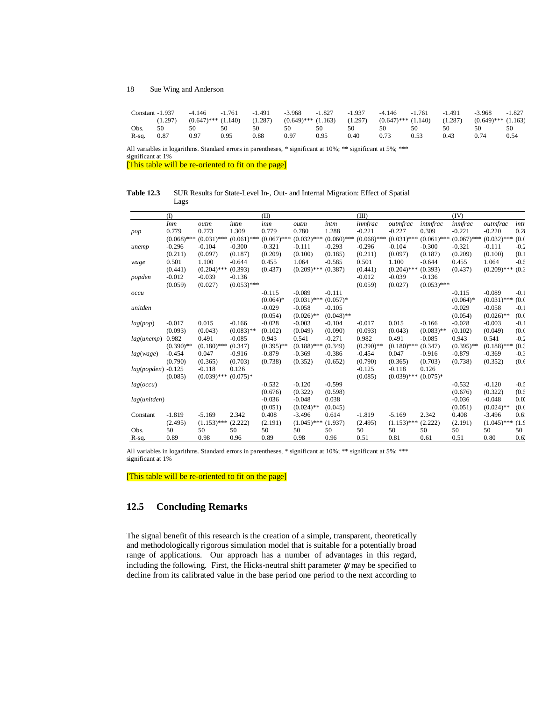| Constant -1.937 |         | $-4.146$                | -1.761 | -1.491  | $-3.968$                | -1.827 | -1.937  | -4.146                  | -1.761 | -1.491  | $-3.968$                | -1.827 |
|-----------------|---------|-------------------------|--------|---------|-------------------------|--------|---------|-------------------------|--------|---------|-------------------------|--------|
|                 | (1.297) | $(0.647)$ *** $(1.140)$ |        | (1.287) | $(0.649)$ *** $(1.163)$ |        | (1.297) | $(0.647)$ *** $(1.140)$ |        | (1.287) | $(0.649)$ *** $(1.163)$ |        |
| Obs.            | 50      | 50                      | 50     | 50      | 50                      | 50     | 50      | 50                      | 50     | 50      | 50                      | 50     |
| R-sq.           | 0.87    | 0.97                    | 0.95   | 0.88    | 0.97                    | 0.95   | 0.40    | 0.73                    | 0.53   | 0.43    |                         | 0.54   |

All variables in logarithms. Standard errors in parentheses, \* significant at 10%; \*\* significant at 5%; \*\*\* significant at 1%

[This table will be re-oriented to fit on the page]

| <b>Table 12.3</b> | SUR Results for State-Level In-, Out- and Internal Migration: Effect of Spatial |
|-------------------|---------------------------------------------------------------------------------|
|                   | Lags                                                                            |

|              | $($ $\Gamma$  |               |               | (II)          |               |               | (III)         |               |               | (IV)          |               |               |
|--------------|---------------|---------------|---------------|---------------|---------------|---------------|---------------|---------------|---------------|---------------|---------------|---------------|
|              | <i>Inm</i>    | outm          | intm          | inm           | outm          | intm          | inmfrac       | outmfrac      | intmfrac      | inmfrac       | outmfrac      | intr          |
| pop          | 0.779         | 0.773         | 1.309         | 0.779         | 0.780         | 1.288         | $-0.221$      | $-0.227$      | 0.309         | $-0.221$      | $-0.220$      | 0.23          |
|              | $(0.068)$ *** | $(0.031)$ *** | $(0.061)$ *** | $(0.067)$ *** | $(0.032)$ *** | $(0.060)$ *** | $(0.068)$ *** | $(0.031)$ *** | $(0.061)$ *** | $(0.067)$ *** | $(0.032)$ *** | (0.0)         |
| unemp        | $-0.296$      | $-0.104$      | $-0.300$      | $-0.321$      | $-0.111$      | $-0.293$      | $-0.296$      | $-0.104$      | $-0.300$      | $-0.321$      | $-0.111$      | $-0.2$        |
|              | (0.211)       | (0.097)       | (0.187)       | (0.209)       | (0.100)       | (0.185)       | (0.211)       | (0.097)       | (0.187)       | (0.209)       | (0.100)       | (0.1)         |
| wage         | 0.501         | 1.100         | $-0.644$      | 0.455         | 1.064         | $-0.585$      | 0.501         | 1.100         | $-0.644$      | 0.455         | 1.064         | $-0.5$        |
|              | (0.441)       | $(0.204)$ *** | (0.393)       | (0.437)       | $(0.209)$ *** | (0.387)       | (0.441)       | $(0.204)$ *** | (0.393)       | (0.437)       | $(0.209)$ *** | (0.3)         |
| popden       | $-0.012$      | $-0.039$      | $-0.136$      |               |               |               | $-0.012$      | $-0.039$      | $-0.136$      |               |               |               |
|              | (0.059)       | (0.027)       | $(0.053)$ *** |               |               |               | (0.059)       | (0.027)       | $(0.053)$ *** |               |               |               |
| occu         |               |               |               | $-0.115$      | $-0.089$      | $-0.111$      |               |               |               | $-0.115$      | $-0.089$      | $-0.1$        |
|              |               |               |               | $(0.064)$ *   | $(0.031)$ *** | $(0.057)*$    |               |               |               | $(0.064)$ *   | $(0.031)$ *** | (0.0)         |
| unitden      |               |               |               | $-0.029$      | $-0.058$      | $-0.105$      |               |               |               | $-0.029$      | $-0.058$      | $-0.1$        |
|              |               |               |               | (0.054)       | $(0.026)$ **  | $(0.048)$ **  |               |               |               | (0.054)       | $(0.026)$ **  | (0.0)         |
| lag(pop)     | $-0.017$      | 0.015         | $-0.166$      | $-0.028$      | $-0.003$      | $-0.104$      | $-0.017$      | 0.015         | $-0.166$      | $-0.028$      | $-0.003$      | $-0.1$        |
|              | (0.093)       | (0.043)       | $(0.083)$ **  | (0.102)       | (0.049)       | (0.090)       | (0.093)       | (0.043)       | $(0.083)$ **  | (0.102)       | (0.049)       | (0.0)         |
| lag(unemp)   | 0.982         | 0.491         | $-0.085$      | 0.943         | 0.541         | $-0.271$      | 0.982         | 0.491         | $-0.085$      | 0.943         | 0.541         | $-0.2$        |
|              | $(0.390)$ **  | $(0.180)$ *** | (0.347)       | $(0.395)$ **  | $(0.188)$ *** | (0.349)       | $(0.390)$ **  | $(0.180)$ *** | (0.347)       | $(0.395)$ **  | $(0.188)$ *** | (0.3)         |
| lag(wage)    | $-0.454$      | 0.047         | $-0.916$      | $-0.879$      | $-0.369$      | $-0.386$      | $-0.454$      | 0.047         | $-0.916$      | $-0.879$      | $-0.369$      | $-0.3$        |
|              | (0.790)       | (0.365)       | (0.703)       | (0.738)       | (0.352)       | (0.652)       | (0.790)       | (0.365)       | (0.703)       | (0.738)       | (0.352)       | (0.6)         |
| lag(popden)  | $-0.125$      | $-0.118$      | 0.126         |               |               |               | $-0.125$      | $-0.118$      | 0.126         |               |               |               |
|              | (0.085)       | $(0.039)$ *** | $(0.075)*$    |               |               |               | (0.085)       | $(0.039)$ *** | $(0.075)*$    |               |               |               |
| lag(occu)    |               |               |               | $-0.532$      | $-0.120$      | $-0.599$      |               |               |               | $-0.532$      | $-0.120$      | $-0.5$        |
|              |               |               |               | (0.676)       | (0.322)       | (0.598)       |               |               |               | (0.676)       | (0.322)       | (0.5)         |
| lag(unitden) |               |               |               | $-0.036$      | $-0.048$      | 0.038         |               |               |               | $-0.036$      | $-0.048$      | $0.0^{\circ}$ |
|              |               |               |               | (0.051)       | $(0.024)$ **  | (0.045)       |               |               |               | (0.051)       | $(0.024)$ **  | (0.0)         |
| Constant     | $-1.819$      | $-5.169$      | 2.342         | 0.408         | $-3.496$      | 0.614         | $-1.819$      | $-5.169$      | 2.342         | 0.408         | $-3.496$      | 0.6           |
|              | (2.495)       | $(1.153)$ *** | (2.222)       | (2.191)       | $(1.045)$ *** | (1.937)       | (2.495)       | $(1.153)$ *** | (2.222)       | (2.191)       | $(1.045)$ *** | (1.9)         |
| Obs.         | 50            | 50            | 50            | 50            | 50            | 50            | 50            | 50            | 50            | 50            | 50            | 50            |
| $R-sq$ .     | 0.89          | 0.98          | 0.96          | 0.89          | 0.98          | 0.96          | 0.51          | 0.81          | 0.61          | 0.51          | 0.80          | 0.62          |

All variables in logarithms. Standard errors in parentheses, \* significant at 10%; \*\* significant at 5%; \*\*\* significant at 1%

[This table will be re-oriented to fit on the page]

# **12.5 Concluding Remarks**

The signal benefit of this research is the creation of a simple, transparent, theoretically and methodologically rigorous simulation model that is suitable for a potentially broad range of applications. Our approach has a number of advantages in this regard, including the following. First, the Hicks-neutral shift parameter  $\psi$  may be specified to decline from its calibrated value in the base period one period to the next according to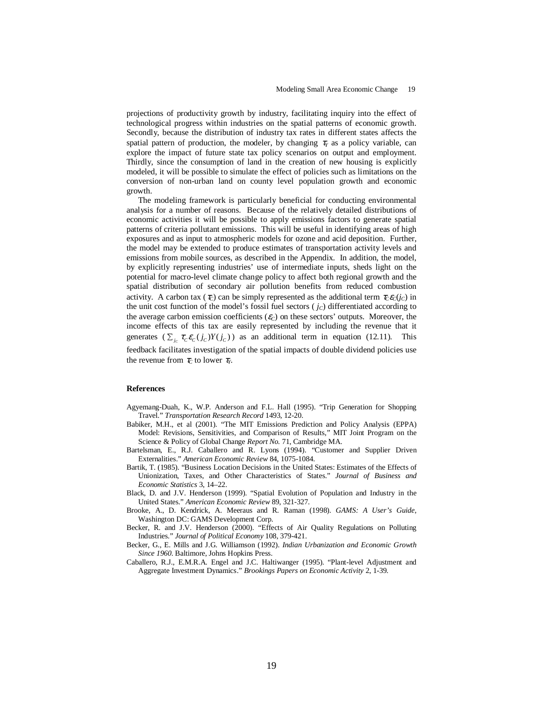projections of productivity growth by industry, facilitating inquiry into the effect of technological progress within industries on the spatial patterns of economic growth. Secondly, because the distribution of industry tax rates in different states affects the spatial pattern of production, the modeler, by changing  $\tau_Y$  as a policy variable, can explore the impact of future state tax policy scenarios on output and employment. Thirdly, since the consumption of land in the creation of new housing is explicitly modeled, it will be possible to simulate the effect of policies such as limitations on the conversion of non-urban land on county level population growth and economic growth.

The modeling framework is particularly beneficial for conducting environmental analysis for a number of reasons. Because of the relatively detailed distributions of economic activities it will be possible to apply emissions factors to generate spatial patterns of criteria pollutant emissions. This will be useful in identifying areas of high exposures and as input to atmospheric models for ozone and acid deposition. Further, the model may be extended to produce estimates of transportation activity levels and emissions from mobile sources, as described in the Appendix. In addition, the model, by explicitly representing industries' use of intermediate inputs, sheds light on the potential for macro-level climate change policy to affect both regional growth and the spatial distribution of secondary air pollution benefits from reduced combustion activity. A carbon tax ( $\tau_c$ ) can be simply represented as the additional term  $\tau_c \epsilon_c$ (*j*<sub>*C*</sub>) in the unit cost function of the model's fossil fuel sectors ( *jC*) differentiated according to the average carbon emission coefficients  $(\varepsilon_C)$  on these sectors' outputs. Moreover, the income effects of this tax are easily represented by including the revenue that it generates  $(\sum_{j_c} \tau_c \varepsilon_c (j_c) Y(j_c))$  as an additional term in equation (12.11). This feedback facilitates investigation of the spatial impacts of double dividend policies use the revenue from  $\tau_C$  to lower  $\tau_Y$ .

### **References**

- Agyemang-Duah, K., W.P. Anderson and F.L. Hall (1995). "Trip Generation for Shopping Travel." *Transportation Research Record* 1493, 12-20.
- Babiker, M.H., et al (2001). "The MIT Emissions Prediction and Policy Analysis (EPPA) Model: Revisions, Sensitivities, and Comparison of Results," MIT Joint Program on the Science & Policy of Global Change *Report No.* 71, Cambridge MA.
- Bartelsman, E., R.J. Caballero and R. Lyons (1994). "Customer and Supplier Driven Externalities." *American Economic Review* 84, 1075-1084.
- Bartik, T. (1985). "Business Location Decisions in the United States: Estimates of the Effects of Unionization, Taxes, and Other Characteristics of States." *Journal of Business and Economic Statistics* 3, 14–22.
- Black, D. and J.V. Henderson (1999). "Spatial Evolution of Population and Industry in the United States." *American Economic Review* 89, 321-327.
- Brooke, A., D. Kendrick, A. Meeraus and R. Raman (1998). *GAMS: A User's Guide*, Washington DC: GAMS Development Corp.
- Becker, R. and J.V. Henderson (2000). "Effects of Air Quality Regulations on Polluting Industries." *Journal of Political Economy* 108, 379-421.
- Becker, G., E. Mills and J.G. Williamson (1992). *Indian Urbanization and Economic Growth Since 1960*. Baltimore, Johns Hopkins Press.
- Caballero, R.J., E.M.R.A. Engel and J.C. Haltiwanger (1995). "Plant-level Adjustment and Aggregate Investment Dynamics." *Brookings Papers on Economic Activity* 2, 1-39.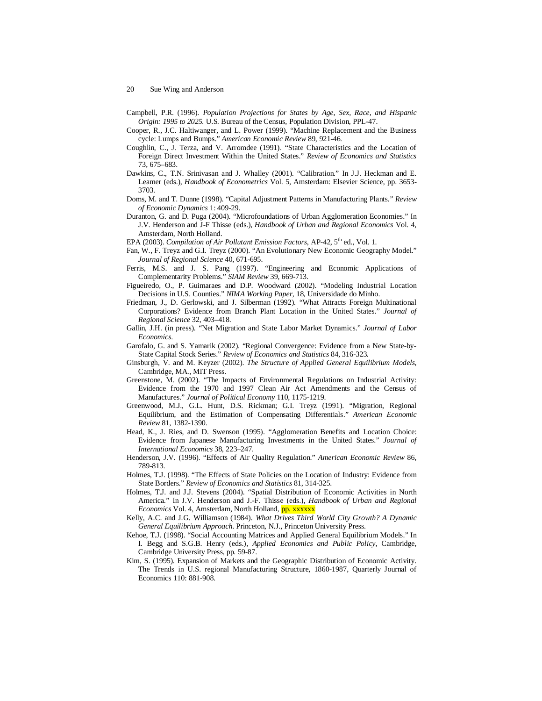- 20 Sue Wing and Anderson
- Campbell, P.R. (1996). *Population Projections for States by Age, Sex, Race, and Hispanic Origin: 1995 to 2025.* U.S. Bureau of the Census, Population Division, PPL-47.
- Cooper, R., J.C. Haltiwanger, and L. Power (1999). "Machine Replacement and the Business cycle: Lumps and Bumps." *American Economic Review* 89, 921-46.
- Coughlin, C., J. Terza, and V. Arromdee (1991). "State Characteristics and the Location of Foreign Direct Investment Within the United States." *Review of Economics and Statistics*  73, 675–683.
- Dawkins, C., T.N. Srinivasan and J. Whalley (2001). "Calibration." In J.J. Heckman and E. Leamer (eds.), *Handbook of Econometrics* Vol. 5, Amsterdam: Elsevier Science, pp. 3653- 3703.
- Doms, M. and T. Dunne (1998). "Capital Adjustment Patterns in Manufacturing Plants." *Review of Economic Dynamics* 1: 409-29.
- Duranton, G. and D. Puga (2004). "Microfoundations of Urban Agglomeration Economies." In J.V. Henderson and J-F Thisse (eds.), *Handbook of Urban and Regional Economics* Vol. 4, Amsterdam, North Holland.
- EPA (2003). *Compilation of Air Pollutant Emission Factors*, AP-42, 5th ed., Vol. 1.
- Fan, W., F. Treyz and G.I. Treyz (2000). "An Evolutionary New Economic Geography Model." *Journal of Regional Science* 40, 671-695.
- Ferris, M.S. and J. S. Pang (1997). "Engineering and Economic Applications of Complementarity Problems." *SIAM Review* 39, 669-713.
- Figueiredo, O., P. Guimaraes and D.P. Woodward (2002). "Modeling Industrial Location Decisions in U.S. Counties." *NIMA Working Paper,* 18, Universidade do Minho.
- Friedman, J., D. Gerlowski, and J. Silberman (1992). "What Attracts Foreign Multinational Corporations? Evidence from Branch Plant Location in the United States." *Journal of Regional Science* 32, 403–418.
- Gallin, J.H. (in press). "Net Migration and State Labor Market Dynamics." *Journal of Labor Economics*.
- Garofalo, G. and S. Yamarik (2002). "Regional Convergence: Evidence from a New State-by-State Capital Stock Series." *Review of Economics and Statistics* 84, 316-323.
- Ginsburgh, V. and M. Keyzer (2002). *The Structure of Applied General Equilibrium Models*, Cambridge, MA., MIT Press.
- Greenstone, M. (2002). "The Impacts of Environmental Regulations on Industrial Activity: Evidence from the 1970 and 1997 Clean Air Act Amendments and the Census of Manufactures." *Journal of Political Economy* 110, 1175-1219.
- Greenwood, M.J., G.L. Hunt, D.S. Rickman; G.I. Treyz (1991). "Migration, Regional Equilibrium, and the Estimation of Compensating Differentials." *American Economic Review* 81, 1382-1390.
- Head, K., J. Ries, and D. Swenson (1995). "Agglomeration Benefits and Location Choice: Evidence from Japanese Manufacturing Investments in the United States." *Journal of International Economics* 38, 223–247.
- Henderson, J.V. (1996). "Effects of Air Quality Regulation." *American Economic Review* 86, 789-813.
- Holmes, T.J. (1998). "The Effects of State Policies on the Location of Industry: Evidence from State Borders." *Review of Economics and Statistics* 81, 314-325.
- Holmes, T.J. and J.J. Stevens (2004). "Spatial Distribution of Economic Activities in North America." In J.V. Henderson and J.-F. Thisse (eds.), *Handbook of Urban and Regional Economics Vol. 4, Amsterdam, North Holland, pp. xxxxxx*
- Kelly, A.C. and J.G. Williamson (1984). *What Drives Third World City Growth? A Dynamic General Equilibrium Approach*. Princeton, N.J., Princeton University Press.
- Kehoe, T.J. (1998). "Social Accounting Matrices and Applied General Equilibrium Models." In I. Begg and S.G.B. Henry (eds.), *Applied Economics and Public Policy*, Cambridge, Cambridge University Press, pp. 59-87.
- Kim, S. (1995). Expansion of Markets and the Geographic Distribution of Economic Activity. The Trends in U.S. regional Manufacturing Structure, 1860-1987, Quarterly Journal of Economics 110: 881-908.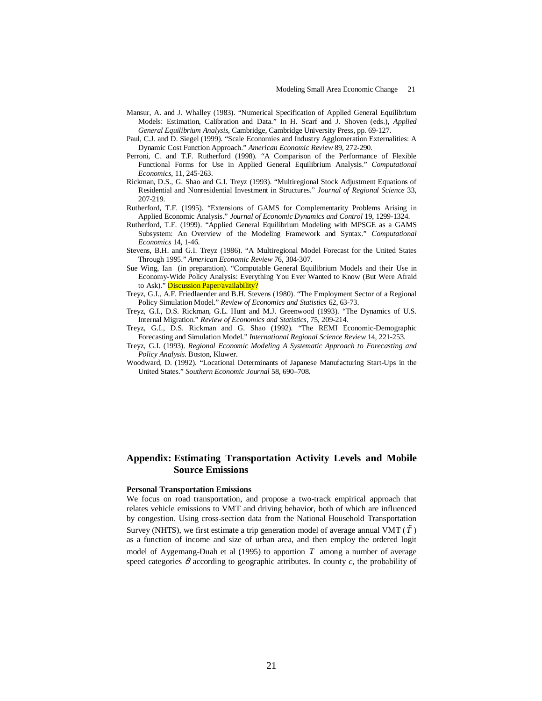- Mansur, A. and J. Whalley (1983). "Numerical Specification of Applied General Equilibrium Models: Estimation, Calibration and Data." In H. Scarf and J. Shoven (eds.), *Applied General Equilibrium Analysis*, Cambridge, Cambridge University Press, pp. 69-127.
- Paul, C.J. and D. Siegel (1999). "Scale Economies and Industry Agglomeration Externalities: A Dynamic Cost Function Approach." *American Economic Review* 89, 272-290.
- Perroni, C. and T.F. Rutherford (1998). "A Comparison of the Performance of Flexible Functional Forms for Use in Applied General Equilibrium Analysis." *Computational Economics*, 11, 245-263.
- Rickman, D.S., G. Shao and G.I. Treyz (1993). "Multiregional Stock Adjustment Equations of Residential and Nonresidential Investment in Structures." *Journal of Regional Science* 33, 207-219.
- Rutherford, T.F. (1995). "Extensions of GAMS for Complementarity Problems Arising in Applied Economic Analysis." *Journal of Economic Dynamics and Control* 19, 1299-1324.
- Rutherford, T.F. (1999). "Applied General Equilibrium Modeling with MPSGE as a GAMS Subsystem: An Overview of the Modeling Framework and Syntax." *Computational Economics* 14, 1-46.
- Stevens, B.H. and G.I. Treyz (1986). "A Multiregional Model Forecast for the United States Through 1995." *American Economic Review* 76, 304-307.
- Sue Wing, Ian (in preparation). "Computable General Equilibrium Models and their Use in Economy-Wide Policy Analysis: Everything You Ever Wanted to Know (But Were Afraid to Ask)." **Discussion Paper/availability?**
- Treyz, G.I., A.F. Friedlaender and B.H. Stevens (1980). "The Employment Sector of a Regional Policy Simulation Model." *Review of Economics and Statistics* 62, 63-73.
- Treyz, G.I., D.S. Rickman, G.L. Hunt and M.J. Greenwood (1993). "The Dynamics of U.S. Internal Migration." *Review of Economics and Statistics*, 75, 209-214.
- Treyz, G.I., D.S. Rickman and G. Shao (1992). "The REMI Economic-Demographic Forecasting and Simulation Model." *International Regional Science Review* 14, 221-253.
- Treyz, G.I. (1993). *Regional Economic Modeling A Systematic Approach to Forecasting and Policy Analysis*. Boston, Kluwer.
- Woodward, D. (1992). "Locational Determinants of Japanese Manufacturing Start-Ups in the United States." *Southern Economic Journal* 58, 690–708.

# **Appendix: Estimating Transportation Activity Levels and Mobile Source Emissions**

#### **Personal Transportation Emissions**

We focus on road transportation, and propose a two-track empirical approach that relates vehicle emissions to VMT and driving behavior, both of which are influenced by congestion. Using cross-section data from the National Household Transportation Survey (NHTS), we first estimate a trip generation model of average annual VMT ( $\tilde{T}$ ) as a function of income and size of urban area, and then employ the ordered logit model of Aygemang-Duah et al (1995) to apportion  $\tilde{T}$  among a number of average speed categories  $\vartheta$  according to geographic attributes. In county c, the probability of